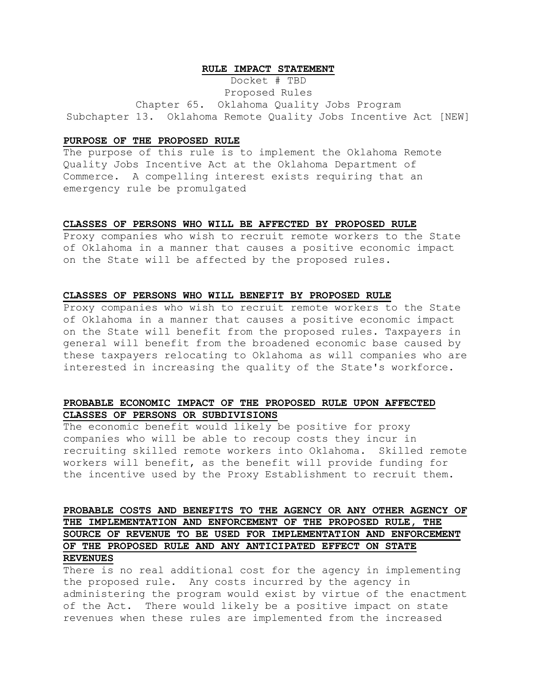### **RULE IMPACT STATEMENT**

Docket # TBD

Proposed Rules

Chapter 65. Oklahoma Quality Jobs Program Subchapter 13. Oklahoma Remote Quality Jobs Incentive Act [NEW]

### **PURPOSE OF THE PROPOSED RULE**

The purpose of this rule is to implement the Oklahoma Remote Quality Jobs Incentive Act at the Oklahoma Department of Commerce. A compelling interest exists requiring that an emergency rule be promulgated

#### **CLASSES OF PERSONS WHO WILL BE AFFECTED BY PROPOSED RULE**

Proxy companies who wish to recruit remote workers to the State of Oklahoma in a manner that causes a positive economic impact on the State will be affected by the proposed rules.

#### **CLASSES OF PERSONS WHO WILL BENEFIT BY PROPOSED RULE**

Proxy companies who wish to recruit remote workers to the State of Oklahoma in a manner that causes a positive economic impact on the State will benefit from the proposed rules. Taxpayers in general will benefit from the broadened economic base caused by these taxpayers relocating to Oklahoma as will companies who are interested in increasing the quality of the State's workforce.

### **PROBABLE ECONOMIC IMPACT OF THE PROPOSED RULE UPON AFFECTED CLASSES OF PERSONS OR SUBDIVISIONS**

The economic benefit would likely be positive for proxy companies who will be able to recoup costs they incur in recruiting skilled remote workers into Oklahoma. Skilled remote workers will benefit, as the benefit will provide funding for the incentive used by the Proxy Establishment to recruit them.

# **PROBABLE COSTS AND BENEFITS TO THE AGENCY OR ANY OTHER AGENCY OF THE IMPLEMENTATION AND ENFORCEMENT OF THE PROPOSED RULE, THE SOURCE OF REVENUE TO BE USED FOR IMPLEMENTATION AND ENFORCEMENT OF THE PROPOSED RULE AND ANY ANTICIPATED EFFECT ON STATE REVENUES**

There is no real additional cost for the agency in implementing the proposed rule. Any costs incurred by the agency in administering the program would exist by virtue of the enactment of the Act. There would likely be a positive impact on state revenues when these rules are implemented from the increased